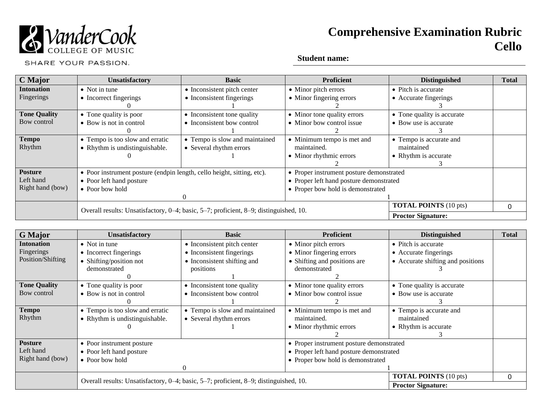

# **Comprehensive Examination Rubric Cello**

SHARE YOUR PASSION.

## **Student name:**

| C Major             | <b>Unsatisfactory</b>                                                                              | <b>Basic</b>                   | Proficient                               | <b>Distinguished</b>         | <b>Total</b> |
|---------------------|----------------------------------------------------------------------------------------------------|--------------------------------|------------------------------------------|------------------------------|--------------|
| <b>Intonation</b>   | $\bullet$ Not in tune                                                                              | • Inconsistent pitch center    | • Minor pitch errors                     | • Pitch is accurate          |              |
| Fingerings          | • Incorrect fingerings                                                                             | • Inconsistent fingerings      | • Minor fingering errors                 | • Accurate fingerings        |              |
|                     |                                                                                                    |                                |                                          |                              |              |
| <b>Tone Quality</b> | • Tone quality is poor                                                                             | • Inconsistent tone quality    | • Minor tone quality errors              | • Tone quality is accurate   |              |
| Bow control         | • Bow is not in control                                                                            | • Inconsistent how control     | • Minor bow control issue                | • Bow use is accurate        |              |
|                     |                                                                                                    |                                |                                          |                              |              |
| <b>Tempo</b>        | • Tempo is too slow and erratic                                                                    | • Tempo is slow and maintained | • Minimum tempo is met and               | • Tempo is accurate and      |              |
| Rhythm              | • Rhythm is undistinguishable.                                                                     | • Several rhythm errors        | maintained.                              | maintained                   |              |
|                     |                                                                                                    |                                | • Minor rhythmic errors                  | • Rhythm is accurate         |              |
|                     |                                                                                                    |                                |                                          |                              |              |
| <b>Posture</b>      | • Poor instrument posture (endpin length, cello height, sitting, etc).<br>• Poor left hand posture |                                | • Proper instrument posture demonstrated |                              |              |
| Left hand           |                                                                                                    |                                | • Proper left hand posture demonstrated  |                              |              |
| Right hand (bow)    | $\bullet$ Poor bow hold                                                                            |                                | • Proper bow hold is demonstrated        |                              |              |
|                     | $\left($                                                                                           |                                |                                          |                              |              |
|                     | Overall results: Unsatisfactory, 0-4; basic, 5-7; proficient, 8-9; distinguished, 10.              |                                |                                          | <b>TOTAL POINTS</b> (10 pts) | 0            |
|                     |                                                                                                    |                                |                                          | <b>Proctor Signature:</b>    |              |

| <b>G</b> Major      | <b>Unsatisfactory</b>                                                                 | <b>Basic</b>                   | <b>Proficient</b>                        | <b>Distinguished</b>              | <b>Total</b> |
|---------------------|---------------------------------------------------------------------------------------|--------------------------------|------------------------------------------|-----------------------------------|--------------|
| <b>Intonation</b>   | $\bullet$ Not in tune                                                                 | • Inconsistent pitch center    | • Minor pitch errors                     | • Pitch is accurate               |              |
| Fingerings          | • Incorrect fingerings                                                                | • Inconsistent fingerings      | • Minor fingering errors                 | • Accurate fingerings             |              |
| Position/Shifting   | Shifting/position not                                                                 | • Inconsistent shifting and    | • Shifting and positions are             | • Accurate shifting and positions |              |
|                     | demonstrated                                                                          | positions                      | demonstrated                             |                                   |              |
|                     |                                                                                       |                                |                                          |                                   |              |
| <b>Tone Quality</b> | • Tone quality is poor                                                                | • Inconsistent tone quality    | • Minor tone quality errors              | • Tone quality is accurate        |              |
| Bow control         | • Bow is not in control                                                               | • Inconsistent bow control     | • Minor bow control issue                | • Bow use is accurate             |              |
|                     |                                                                                       |                                |                                          |                                   |              |
| <b>Tempo</b>        | • Tempo is too slow and erratic                                                       | • Tempo is slow and maintained | • Minimum tempo is met and               | • Tempo is accurate and           |              |
| Rhythm              | • Rhythm is undistinguishable.                                                        | • Several rhythm errors        | maintained.                              | maintained                        |              |
|                     |                                                                                       |                                | • Minor rhythmic errors                  | • Rhythm is accurate              |              |
|                     |                                                                                       |                                |                                          |                                   |              |
| <b>Posture</b>      | • Poor instrument posture                                                             |                                | • Proper instrument posture demonstrated |                                   |              |
| Left hand           | • Poor left hand posture                                                              |                                | • Proper left hand posture demonstrated  |                                   |              |
| Right hand (bow)    | • Poor bow hold                                                                       |                                | • Proper bow hold is demonstrated        |                                   |              |
|                     |                                                                                       | $\Omega$                       |                                          |                                   |              |
|                     | Overall results: Unsatisfactory, 0–4; basic, 5–7; proficient, 8–9; distinguished, 10. |                                |                                          | <b>TOTAL POINTS</b> (10 pts)      | 0            |
|                     |                                                                                       |                                |                                          | <b>Proctor Signature:</b>         |              |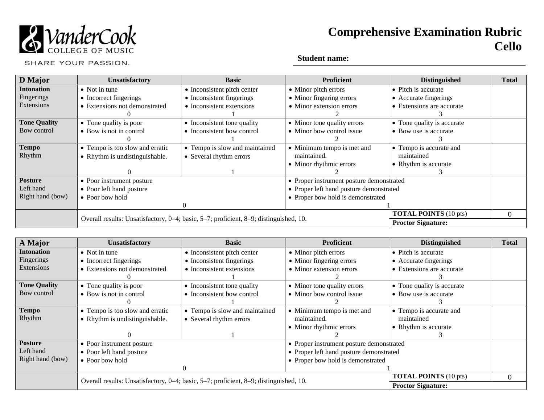

# **Comprehensive Examination Rubric Cello**

SHARE YOUR PASSION.

## **Student name:**

| D Major             | <b>Unsatisfactory</b>                                                                 | <b>Basic</b>                   | <b>Proficient</b>                        | <b>Distinguished</b>         | <b>Total</b> |
|---------------------|---------------------------------------------------------------------------------------|--------------------------------|------------------------------------------|------------------------------|--------------|
| <b>Intonation</b>   | $\bullet$ Not in tune                                                                 | • Inconsistent pitch center    | • Minor pitch errors                     | • Pitch is accurate          |              |
| Fingerings          | • Incorrect fingerings                                                                | • Inconsistent fingerings      | • Minor fingering errors                 | • Accurate fingerings        |              |
| Extensions          | • Extensions not demonstrated                                                         | • Inconsistent extensions      | • Minor extension errors                 | • Extensions are accurate    |              |
|                     |                                                                                       |                                |                                          |                              |              |
| <b>Tone Quality</b> | • Tone quality is poor                                                                | • Inconsistent tone quality    | • Minor tone quality errors              | • Tone quality is accurate   |              |
| Bow control         | • Bow is not in control                                                               | • Inconsistent bow control     | • Minor bow control issue                | • Bow use is accurate        |              |
|                     |                                                                                       |                                |                                          |                              |              |
| <b>Tempo</b>        | • Tempo is too slow and erratic                                                       | • Tempo is slow and maintained | • Minimum tempo is met and               | • Tempo is accurate and      |              |
| Rhythm              | • Rhythm is undistinguishable.                                                        | • Several rhythm errors        | maintained.                              | maintained                   |              |
|                     |                                                                                       |                                | • Minor rhythmic errors                  | • Rhythm is accurate         |              |
|                     |                                                                                       |                                |                                          |                              |              |
| <b>Posture</b>      | • Poor instrument posture                                                             |                                | • Proper instrument posture demonstrated |                              |              |
| Left hand           | • Poor left hand posture                                                              |                                | • Proper left hand posture demonstrated  |                              |              |
| Right hand (bow)    | • Poor bow hold                                                                       |                                | • Proper bow hold is demonstrated        |                              |              |
|                     |                                                                                       | $\Omega$                       |                                          |                              |              |
|                     |                                                                                       |                                |                                          | <b>TOTAL POINTS</b> (10 pts) | 0            |
|                     | Overall results: Unsatisfactory, 0–4; basic, 5–7; proficient, 8–9; distinguished, 10. |                                |                                          | <b>Proctor Signature:</b>    |              |

| A Major             | <b>Unsatisfactory</b>                                                                 | <b>Basic</b>                   | <b>Proficient</b>                        | <b>Distinguished</b>         | <b>Total</b> |
|---------------------|---------------------------------------------------------------------------------------|--------------------------------|------------------------------------------|------------------------------|--------------|
| <b>Intonation</b>   | $\bullet$ Not in tune                                                                 | • Inconsistent pitch center    | • Minor pitch errors                     | • Pitch is accurate          |              |
| Fingerings          | • Incorrect fingerings                                                                | • Inconsistent fingerings      | • Minor fingering errors                 | • Accurate fingerings        |              |
| Extensions          | • Extensions not demonstrated                                                         | • Inconsistent extensions      | • Minor extension errors                 | • Extensions are accurate    |              |
|                     |                                                                                       |                                |                                          |                              |              |
| <b>Tone Quality</b> | • Tone quality is poor                                                                | • Inconsistent tone quality    | • Minor tone quality errors              | • Tone quality is accurate   |              |
| Bow control         | • Bow is not in control                                                               | • Inconsistent bow control     | • Minor bow control issue                | • Bow use is accurate        |              |
|                     |                                                                                       |                                |                                          |                              |              |
| <b>Tempo</b>        | • Tempo is too slow and erratic                                                       | • Tempo is slow and maintained | • Minimum tempo is met and               | • Tempo is accurate and      |              |
| Rhythm              | • Rhythm is undistinguishable.                                                        | • Several rhythm errors        | maintained.                              | maintained                   |              |
|                     |                                                                                       |                                | • Minor rhythmic errors                  | • Rhythm is accurate         |              |
|                     |                                                                                       |                                |                                          |                              |              |
| <b>Posture</b>      | • Poor instrument posture                                                             |                                | • Proper instrument posture demonstrated |                              |              |
| Left hand           | • Poor left hand posture                                                              |                                | • Proper left hand posture demonstrated  |                              |              |
| Right hand (bow)    | • Poor bow hold                                                                       |                                | • Proper bow hold is demonstrated        |                              |              |
|                     |                                                                                       |                                |                                          |                              |              |
|                     |                                                                                       |                                |                                          | <b>TOTAL POINTS</b> (10 pts) | 0            |
|                     | Overall results: Unsatisfactory, 0-4; basic, 5-7; proficient, 8-9; distinguished, 10. |                                |                                          | <b>Proctor Signature:</b>    |              |